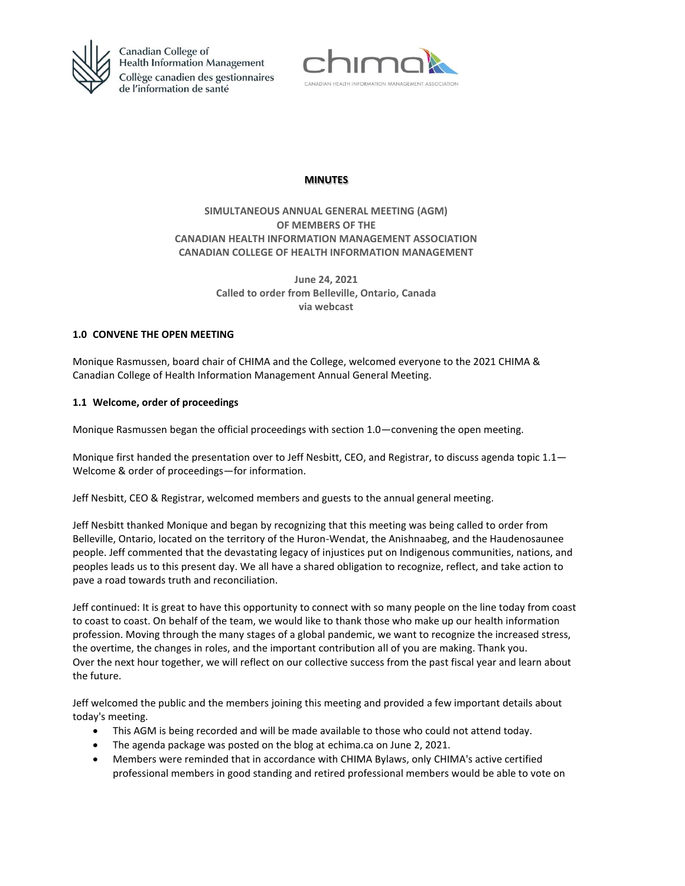



# **MINUTES**

# **SIMULTANEOUS ANNUAL GENERAL MEETING (AGM) OF MEMBERS OF THE CANADIAN HEALTH INFORMATION MANAGEMENT ASSOCIATION CANADIAN COLLEGE OF HEALTH INFORMATION MANAGEMENT**

**June 24, 2021 Called to order from Belleville, Ontario, Canada via webcast**

### **1.0 CONVENE THE OPEN MEETING**

Monique Rasmussen, board chair of CHIMA and the College, welcomed everyone to the 2021 CHIMA & Canadian College of Health Information Management Annual General Meeting.

### **1.1 Welcome, order of proceedings**

Monique Rasmussen began the official proceedings with section 1.0—convening the open meeting.

Monique first handed the presentation over to Jeff Nesbitt, CEO, and Registrar, to discuss agenda topic  $1.1-$ Welcome & order of proceedings—for information.

Jeff Nesbitt, CEO & Registrar, welcomed members and guests to the annual general meeting.

Jeff Nesbitt thanked Monique and began by recognizing that this meeting was being called to order from Belleville, Ontario, located on the territory of the Huron-Wendat, the Anishnaabeg, and the Haudenosaunee people. Jeff commented that the devastating legacy of injustices put on Indigenous communities, nations, and peoples leads us to this present day. We all have a shared obligation to recognize, reflect, and take action to pave a road towards truth and reconciliation.

Jeff continued: It is great to have this opportunity to connect with so many people on the line today from coast to coast to coast. On behalf of the team, we would like to thank those who make up our health information profession. Moving through the many stages of a global pandemic, we want to recognize the increased stress, the overtime, the changes in roles, and the important contribution all of you are making. Thank you. Over the next hour together, we will reflect on our collective success from the past fiscal year and learn about the future.

Jeff welcomed the public and the members joining this meeting and provided a few important details about today's meeting.

- This AGM is being recorded and will be made available to those who could not attend today.
- The agenda package was posted on the blog at echima.ca on June 2, 2021.
- Members were reminded that in accordance with CHIMA Bylaws, only CHIMA's active certified professional members in good standing and retired professional members would be able to vote on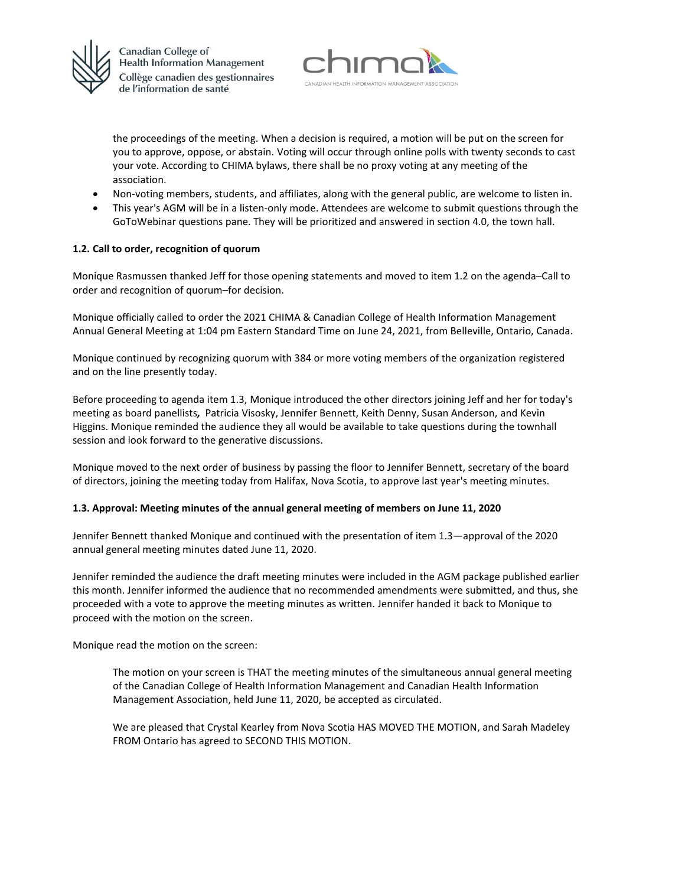



the proceedings of the meeting. When a decision is required, a motion will be put on the screen for you to approve, oppose, or abstain. Voting will occur through online polls with twenty seconds to cast your vote. According to CHIMA bylaws, there shall be no proxy voting at any meeting of the association.

- Non-voting members, students, and affiliates, along with the general public, are welcome to listen in.
- This year's AGM will be in a listen-only mode. Attendees are welcome to submit questions through the GoToWebinar questions pane. They will be prioritized and answered in section 4.0, the town hall.

### **1.2. Call to order, recognition of quorum**

Monique Rasmussen thanked Jeff for those opening statements and moved to item 1.2 on the agenda–Call to order and recognition of quorum–for decision.

Monique officially called to order the 2021 CHIMA & Canadian College of Health Information Management Annual General Meeting at 1:04 pm Eastern Standard Time on June 24, 2021, from Belleville, Ontario, Canada.

Monique continued by recognizing quorum with 384 or more voting members of the organization registered and on the line presently today.

Before proceeding to agenda item 1.3, Monique introduced the other directors joining Jeff and her for today's meeting as board panellists*,* Patricia Visosky, Jennifer Bennett, Keith Denny, Susan Anderson, and Kevin Higgins. Monique reminded the audience they all would be available to take questions during the townhall session and look forward to the generative discussions.

Monique moved to the next order of business by passing the floor to Jennifer Bennett, secretary of the board of directors, joining the meeting today from Halifax, Nova Scotia, to approve last year's meeting minutes.

#### **1.3. Approval: Meeting minutes of the annual general meeting of members on June 11, 2020**

Jennifer Bennett thanked Monique and continued with the presentation of item 1.3—approval of the 2020 annual general meeting minutes dated June 11, 2020.

Jennifer reminded the audience the draft meeting minutes were included in the AGM package published earlier this month. Jennifer informed the audience that no recommended amendments were submitted, and thus, she proceeded with a vote to approve the meeting minutes as written. Jennifer handed it back to Monique to proceed with the motion on the screen.

Monique read the motion on the screen:

The motion on your screen is THAT the meeting minutes of the simultaneous annual general meeting of the Canadian College of Health Information Management and Canadian Health Information Management Association, held June 11, 2020, be accepted as circulated.

We are pleased that Crystal Kearley from Nova Scotia HAS MOVED THE MOTION, and Sarah Madeley FROM Ontario has agreed to SECOND THIS MOTION.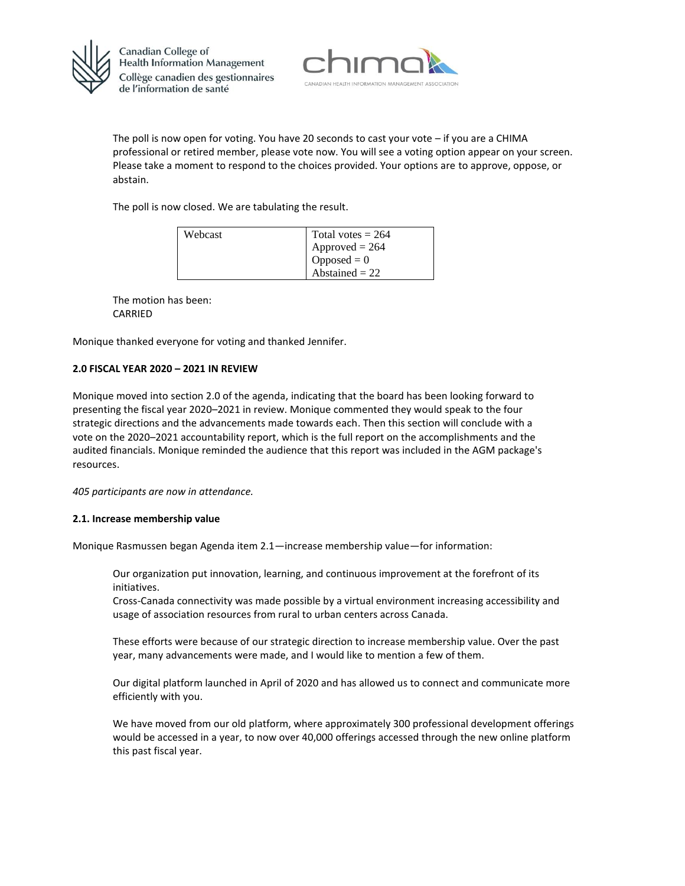



The poll is now open for voting. You have 20 seconds to cast your vote – if you are a CHIMA professional or retired member, please vote now. You will see a voting option appear on your screen. Please take a moment to respond to the choices provided. Your options are to approve, oppose, or abstain.

The poll is now closed. We are tabulating the result.

| Webcast | Total votes $= 264$     |
|---------|-------------------------|
|         | $1$ Approved = 264      |
|         | $\log_{10}$ Opposed = 0 |
|         | $1$ Abstained = 22      |

The motion has been: CARRIED

Monique thanked everyone for voting and thanked Jennifer.

#### **2.0 FISCAL YEAR 2020 – 2021 IN REVIEW**

Monique moved into section 2.0 of the agenda, indicating that the board has been looking forward to presenting the fiscal year 2020–2021 in review. Monique commented they would speak to the four strategic directions and the advancements made towards each. Then this section will conclude with a vote on the 2020–2021 accountability report, which is the full report on the accomplishments and the audited financials. Monique reminded the audience that this report was included in the AGM package's resources.

*405 participants are now in attendance.*

#### **2.1. Increase membership value**

Monique Rasmussen began Agenda item 2.1—increase membership value—for information:

Our organization put innovation, learning, and continuous improvement at the forefront of its initiatives.

Cross-Canada connectivity was made possible by a virtual environment increasing accessibility and usage of association resources from rural to urban centers across Canada.

These efforts were because of our strategic direction to increase membership value. Over the past year, many advancements were made, and I would like to mention a few of them.

Our digital platform launched in April of 2020 and has allowed us to connect and communicate more efficiently with you.

We have moved from our old platform, where approximately 300 professional development offerings would be accessed in a year, to now over 40,000 offerings accessed through the new online platform this past fiscal year.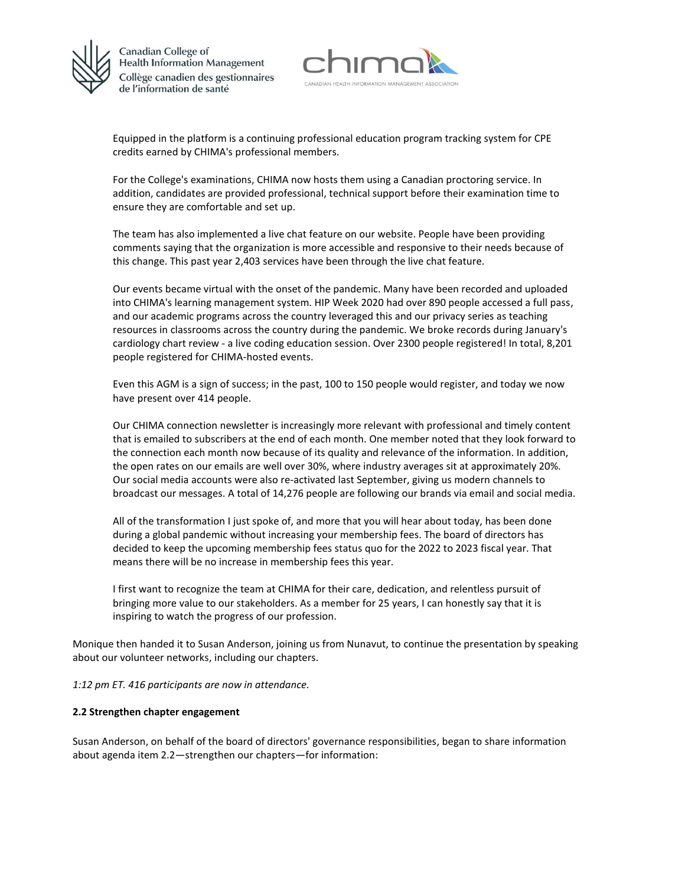



Equipped in the platform is a continuing professional education program tracking system for CPE credits earned by CHIMA's professional members.

For the College's examinations, CHIMA now hosts them using a Canadian proctoring service. In addition, candidates are provided professional, technical support before their examination time to ensure they are comfortable and set up.

The team has also implemented a live chat feature on our website. People have been providing comments saying that the organization is more accessible and responsive to their needs because of this change. This past year 2,403 services have been through the live chat feature.

Our events became virtual with the onset of the pandemic. Many have been recorded and uploaded into CHIMA's learning management system. HIP Week 2020 had over 890 people accessed a full pass, and our academic programs across the country leveraged this and our privacy series as teaching resources in classrooms across the country during the pandemic. We broke records during January's cardiology chart review - a live coding education session. Over 2300 people registered! In total, 8,201 people registered for CHIMA-hosted events.

Even this AGM is a sign of success; in the past, 100 to 150 people would register, and today we now have present over 414 people.

Our CHIMA connection newsletter is increasingly more relevant with professional and timely content that is emailed to subscribers at the end of each month. One member noted that they look forward to the connection each month now because of its quality and relevance of the information. In addition, the open rates on our emails are well over 30%, where industry averages sit at approximately 20%. Our social media accounts were also re-activated last September, giving us modern channels to broadcast our messages. A total of 14,276 people are following our brands via email and social media.

All of the transformation I just spoke of, and more that you will hear about today, has been done during a global pandemic without increasing your membership fees. The board of directors has decided to keep the upcoming membership fees status quo for the 2022 to 2023 fiscal year. That means there will be no increase in membership fees this year.

I first want to recognize the team at CHIMA for their care, dedication, and relentless pursuit of bringing more value to our stakeholders. As a member for 25 years, I can honestly say that it is inspiring to watch the progress of our profession.

Monique then handed it to Susan Anderson, joining us from Nunavut, to continue the presentation by speaking about our volunteer networks, including our chapters.

*1:12 pm ET. 416 participants are now in attendance.*

#### **2.2 Strengthen chapter engagement**

Susan Anderson, on behalf of the board of directors' governance responsibilities, began to share information about agenda item 2.2—strengthen our chapters—for information: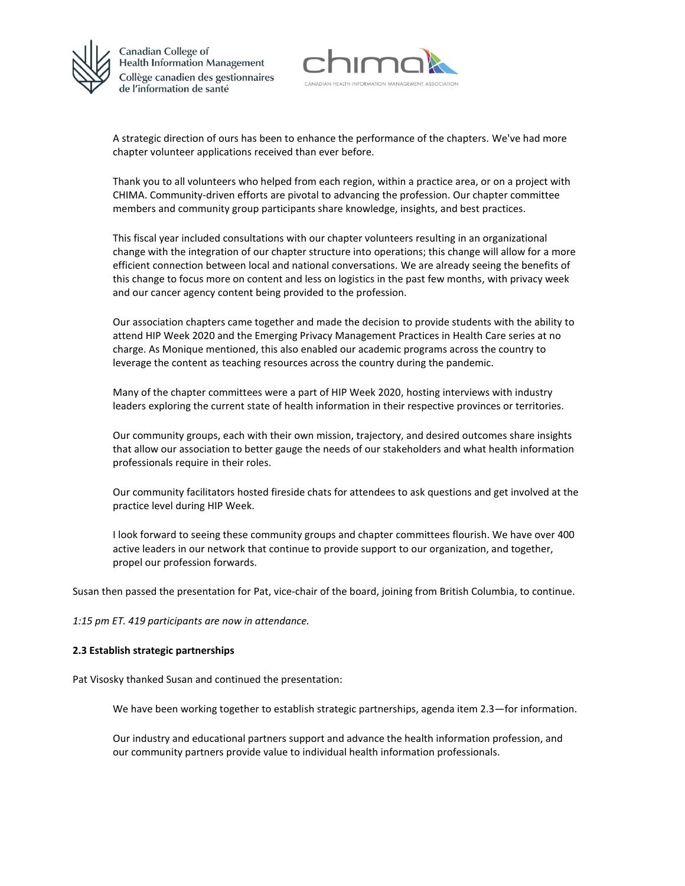



A strategic direction of ours has been to enhance the performance of the chapters. We've had more chapter volunteer applications received than ever before.

Thank you to all volunteers who helped from each region, within a practice area, or on a project with CHIMA. Community-driven efforts are pivotal to advancing the profession. Our chapter committee members and community group participants share knowledge, insights, and best practices.

This fiscal year included consultations with our chapter volunteers resulting in an organizational change with the integration of our chapter structure into operations; this change will allow for a more efficient connection between local and national conversations. We are already seeing the benefits of this change to focus more on content and less on logistics in the past few months, with privacy week and our cancer agency content being provided to the profession.

Our association chapters came together and made the decision to provide students with the ability to attend HIP Week 2020 and the Emerging Privacy Management Practices in Health Care series at no charge. As Monique mentioned, this also enabled our academic programs across the country to leverage the content as teaching resources across the country during the pandemic.

Many of the chapter committees were a part of HIP Week 2020, hosting interviews with industry leaders exploring the current state of health information in their respective provinces or territories.

Our community groups, each with their own mission, trajectory, and desired outcomes share insights that allow our association to better gauge the needs of our stakeholders and what health information professionals require in their roles.

Our community facilitators hosted fireside chats for attendees to ask questions and get involved at the practice level during HIP Week.

I look forward to seeing these community groups and chapter committees flourish. We have over 400 active leaders in our network that continue to provide support to our organization, and together, propel our profession forwards.

Susan then passed the presentation for Pat, vice-chair of the board, joining from British Columbia, to continue.

*1:15 pm ET. 419 participants are now in attendance.*

#### **2.3 Establish strategic partnerships**

Pat Visosky thanked Susan and continued the presentation:

We have been working together to establish strategic partnerships, agenda item 2.3—for information.

Our industry and educational partners support and advance the health information profession, and our community partners provide value to individual health information professionals.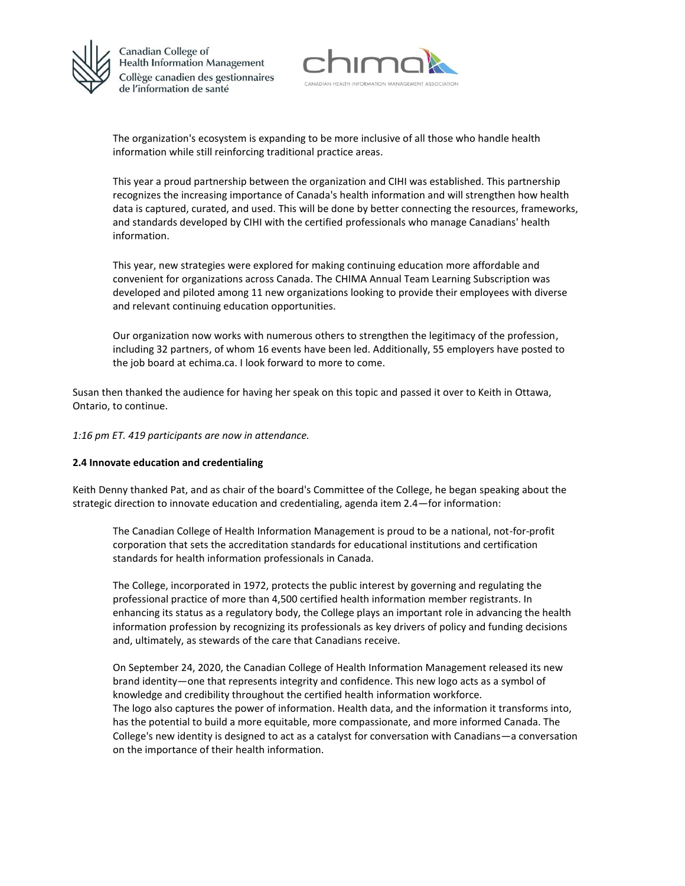



The organization's ecosystem is expanding to be more inclusive of all those who handle health information while still reinforcing traditional practice areas.

This year a proud partnership between the organization and CIHI was established. This partnership recognizes the increasing importance of Canada's health information and will strengthen how health data is captured, curated, and used. This will be done by better connecting the resources, frameworks, and standards developed by CIHI with the certified professionals who manage Canadians' health information.

This year, new strategies were explored for making continuing education more affordable and convenient for organizations across Canada. The CHIMA Annual Team Learning Subscription was developed and piloted among 11 new organizations looking to provide their employees with diverse and relevant continuing education opportunities.

Our organization now works with numerous others to strengthen the legitimacy of the profession, including 32 partners, of whom 16 events have been led. Additionally, 55 employers have posted to the job board at echima.ca. I look forward to more to come.

Susan then thanked the audience for having her speak on this topic and passed it over to Keith in Ottawa, Ontario, to continue.

*1:16 pm ET. 419 participants are now in attendance.*

#### **2.4 Innovate education and credentialing**

Keith Denny thanked Pat, and as chair of the board's Committee of the College, he began speaking about the strategic direction to innovate education and credentialing, agenda item 2.4—for information:

The Canadian College of Health Information Management is proud to be a national, not-for-profit corporation that sets the accreditation standards for educational institutions and certification standards for health information professionals in Canada.

The College, incorporated in 1972, protects the public interest by governing and regulating the professional practice of more than 4,500 certified health information member registrants. In enhancing its status as a regulatory body, the College plays an important role in advancing the health information profession by recognizing its professionals as key drivers of policy and funding decisions and, ultimately, as stewards of the care that Canadians receive.

On September 24, 2020, the Canadian College of Health Information Management released its new brand identity—one that represents integrity and confidence. This new logo acts as a symbol of knowledge and credibility throughout the certified health information workforce. The logo also captures the power of information. Health data, and the information it transforms into, has the potential to build a more equitable, more compassionate, and more informed Canada. The College's new identity is designed to act as a catalyst for conversation with Canadians—a conversation on the importance of their health information.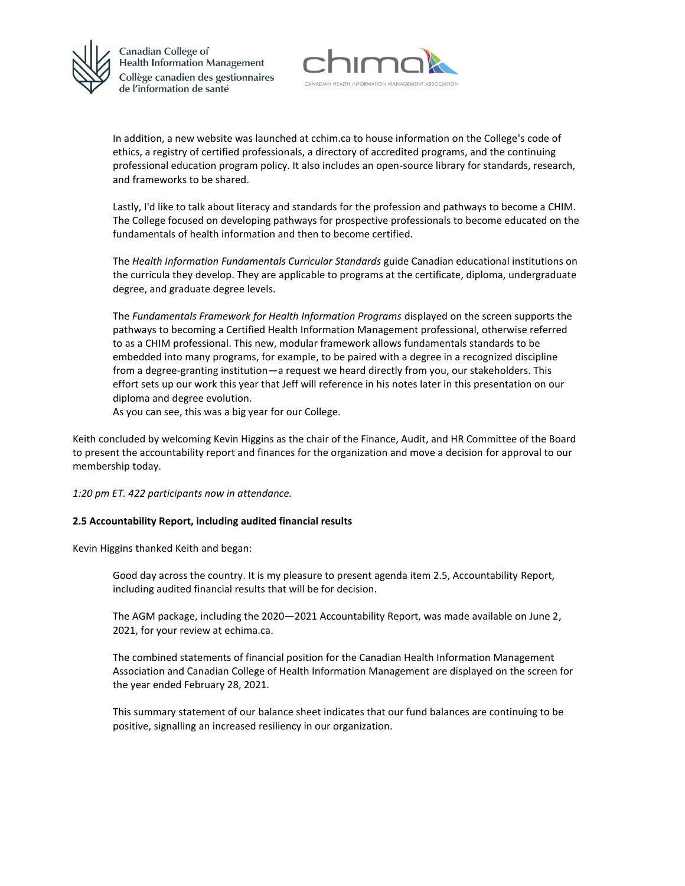



In addition, a new website was launched at cchim.ca to house information on the College's code of ethics, a registry of certified professionals, a directory of accredited programs, and the continuing professional education program policy. It also includes an open-source library for standards, research, and frameworks to be shared.

Lastly, I'd like to talk about literacy and standards for the profession and pathways to become a CHIM. The College focused on developing pathways for prospective professionals to become educated on the fundamentals of health information and then to become certified.

The *Health Information Fundamentals Curricular Standards* guide Canadian educational institutions on the curricula they develop. They are applicable to programs at the certificate, diploma, undergraduate degree, and graduate degree levels.

The *Fundamentals Framework for Health Information Programs* displayed on the screen supports the pathways to becoming a Certified Health Information Management professional, otherwise referred to as a CHIM professional. This new, modular framework allows fundamentals standards to be embedded into many programs, for example, to be paired with a degree in a recognized discipline from a degree-granting institution—a request we heard directly from you, our stakeholders. This effort sets up our work this year that Jeff will reference in his notes later in this presentation on our diploma and degree evolution.

As you can see, this was a big year for our College.

Keith concluded by welcoming Kevin Higgins as the chair of the Finance, Audit, and HR Committee of the Board to present the accountability report and finances for the organization and move a decision for approval to our membership today.

*1:20 pm ET. 422 participants now in attendance.*

#### **2.5 Accountability Report, including audited financial results**

Kevin Higgins thanked Keith and began:

Good day across the country. It is my pleasure to present agenda item 2.5, Accountability Report, including audited financial results that will be for decision.

The AGM package, including the 2020—2021 Accountability Report, was made available on June 2, 2021, for your review at echima.ca.

The combined statements of financial position for the Canadian Health Information Management Association and Canadian College of Health Information Management are displayed on the screen for the year ended February 28, 2021.

This summary statement of our balance sheet indicates that our fund balances are continuing to be positive, signalling an increased resiliency in our organization.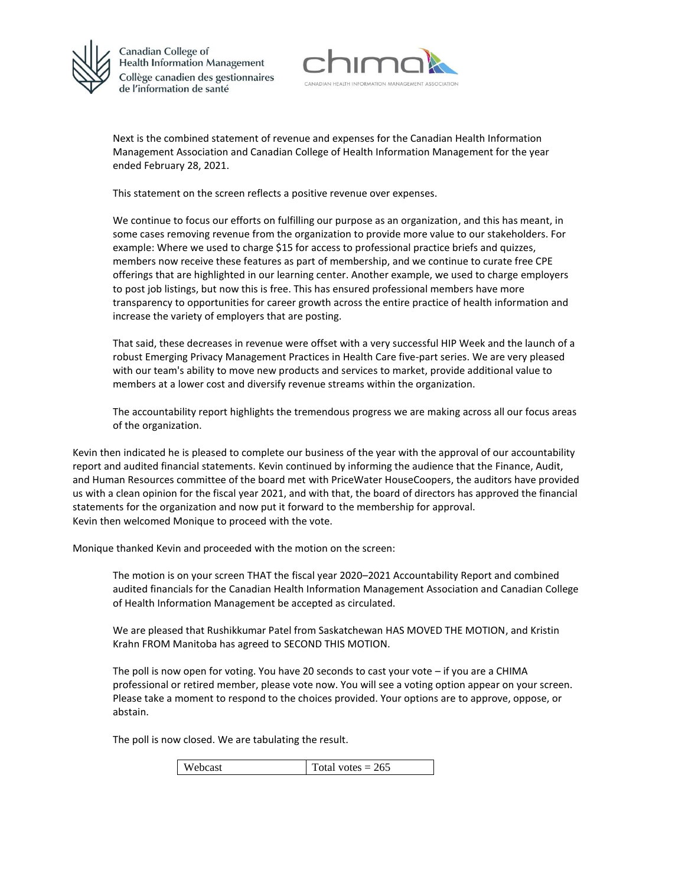



Next is the combined statement of revenue and expenses for the Canadian Health Information Management Association and Canadian College of Health Information Management for the year ended February 28, 2021.

This statement on the screen reflects a positive revenue over expenses.

We continue to focus our efforts on fulfilling our purpose as an organization, and this has meant, in some cases removing revenue from the organization to provide more value to our stakeholders. For example: Where we used to charge \$15 for access to professional practice briefs and quizzes, members now receive these features as part of membership, and we continue to curate free CPE offerings that are highlighted in our learning center. Another example, we used to charge employers to post job listings, but now this is free. This has ensured professional members have more transparency to opportunities for career growth across the entire practice of health information and increase the variety of employers that are posting.

That said, these decreases in revenue were offset with a very successful HIP Week and the launch of a robust Emerging Privacy Management Practices in Health Care five-part series. We are very pleased with our team's ability to move new products and services to market, provide additional value to members at a lower cost and diversify revenue streams within the organization.

The accountability report highlights the tremendous progress we are making across all our focus areas of the organization.

Kevin then indicated he is pleased to complete our business of the year with the approval of our accountability report and audited financial statements. Kevin continued by informing the audience that the Finance, Audit, and Human Resources committee of the board met with PriceWater HouseCoopers, the auditors have provided us with a clean opinion for the fiscal year 2021, and with that, the board of directors has approved the financial statements for the organization and now put it forward to the membership for approval. Kevin then welcomed Monique to proceed with the vote.

Monique thanked Kevin and proceeded with the motion on the screen:

The motion is on your screen THAT the fiscal year 2020–2021 Accountability Report and combined audited financials for the Canadian Health Information Management Association and Canadian College of Health Information Management be accepted as circulated.

We are pleased that Rushikkumar Patel from Saskatchewan HAS MOVED THE MOTION, and Kristin Krahn FROM Manitoba has agreed to SECOND THIS MOTION.

The poll is now open for voting. You have 20 seconds to cast your vote – if you are a CHIMA professional or retired member, please vote now. You will see a voting option appear on your screen. Please take a moment to respond to the choices provided. Your options are to approve, oppose, or abstain.

The poll is now closed. We are tabulating the result.

|  | Webcast | Total votes $= 265$ |
|--|---------|---------------------|
|--|---------|---------------------|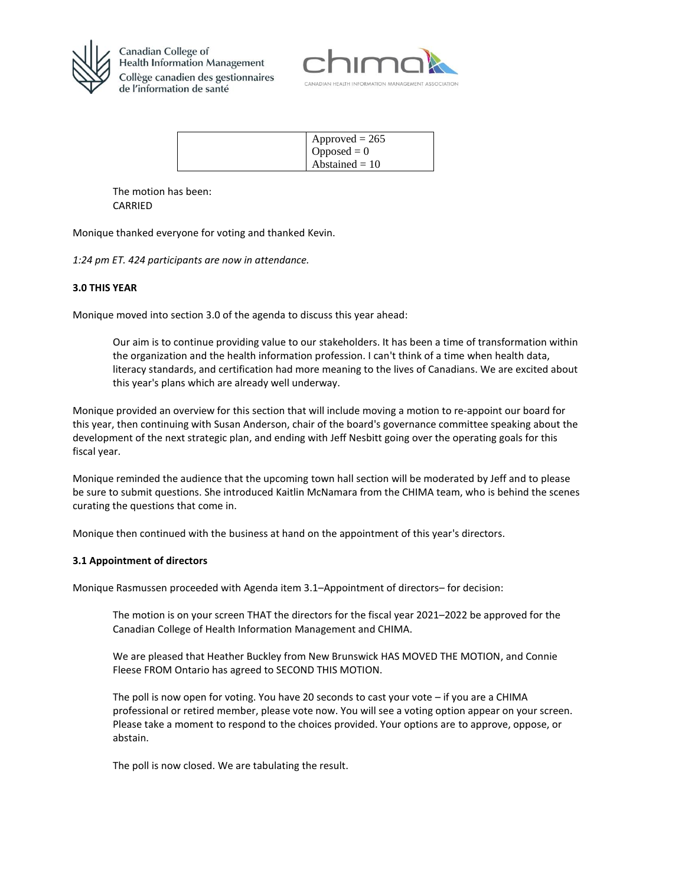



| $\text{Approved} = 265$<br>Opposed = $0$ |
|------------------------------------------|
| Abstained $= 10$                         |

The motion has been: CARRIED

Monique thanked everyone for voting and thanked Kevin.

*1:24 pm ET. 424 participants are now in attendance.*

# **3.0 THIS YEAR**

Monique moved into section 3.0 of the agenda to discuss this year ahead:

Our aim is to continue providing value to our stakeholders. It has been a time of transformation within the organization and the health information profession. I can't think of a time when health data, literacy standards, and certification had more meaning to the lives of Canadians. We are excited about this year's plans which are already well underway.

Monique provided an overview for this section that will include moving a motion to re-appoint our board for this year, then continuing with Susan Anderson, chair of the board's governance committee speaking about the development of the next strategic plan, and ending with Jeff Nesbitt going over the operating goals for this fiscal year.

Monique reminded the audience that the upcoming town hall section will be moderated by Jeff and to please be sure to submit questions. She introduced Kaitlin McNamara from the CHIMA team, who is behind the scenes curating the questions that come in.

Monique then continued with the business at hand on the appointment of this year's directors.

#### **3.1 Appointment of directors**

Monique Rasmussen proceeded with Agenda item 3.1–Appointment of directors– for decision:

The motion is on your screen THAT the directors for the fiscal year 2021–2022 be approved for the Canadian College of Health Information Management and CHIMA.

We are pleased that Heather Buckley from New Brunswick HAS MOVED THE MOTION, and Connie Fleese FROM Ontario has agreed to SECOND THIS MOTION.

The poll is now open for voting. You have 20 seconds to cast your vote – if you are a CHIMA professional or retired member, please vote now. You will see a voting option appear on your screen. Please take a moment to respond to the choices provided. Your options are to approve, oppose, or abstain.

The poll is now closed. We are tabulating the result.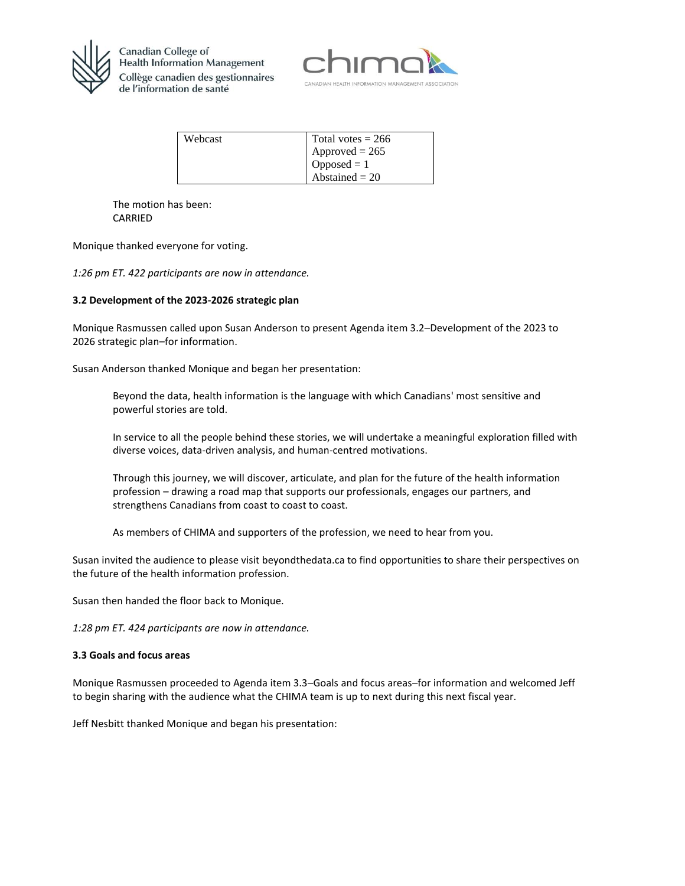



| Webcast | Total votes $= 266$ |
|---------|---------------------|
|         | $Approved = 265$    |
|         | $Opposed = 1$       |
|         | Abstained $= 20$    |

The motion has been: CARRIED

Monique thanked everyone for voting.

*1:26 pm ET. 422 participants are now in attendance.*

### **3.2 Development of the 2023-2026 strategic plan**

Monique Rasmussen called upon Susan Anderson to present Agenda item 3.2–Development of the 2023 to 2026 strategic plan–for information.

Susan Anderson thanked Monique and began her presentation:

Beyond the data, health information is the language with which Canadians' most sensitive and powerful stories are told.

In service to all the people behind these stories, we will undertake a meaningful exploration filled with diverse voices, data-driven analysis, and human-centred motivations.

Through this journey, we will discover, articulate, and plan for the future of the health information profession – drawing a road map that supports our professionals, engages our partners, and strengthens Canadians from coast to coast to coast.

As members of CHIMA and supporters of the profession, we need to hear from you.

Susan invited the audience to please visit beyondthedata.ca to find opportunities to share their perspectives on the future of the health information profession.

Susan then handed the floor back to Monique.

*1:28 pm ET. 424 participants are now in attendance.*

#### **3.3 Goals and focus areas**

Monique Rasmussen proceeded to Agenda item 3.3–Goals and focus areas–for information and welcomed Jeff to begin sharing with the audience what the CHIMA team is up to next during this next fiscal year.

Jeff Nesbitt thanked Monique and began his presentation: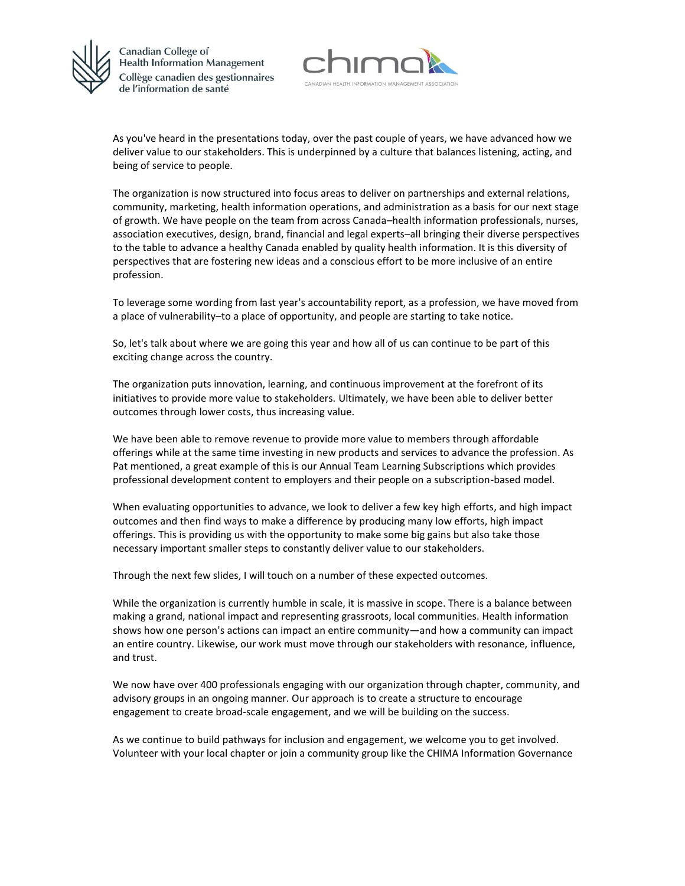



As you've heard in the presentations today, over the past couple of years, we have advanced how we deliver value to our stakeholders. This is underpinned by a culture that balances listening, acting, and being of service to people.

The organization is now structured into focus areas to deliver on partnerships and external relations, community, marketing, health information operations, and administration as a basis for our next stage of growth. We have people on the team from across Canada–health information professionals, nurses, association executives, design, brand, financial and legal experts–all bringing their diverse perspectives to the table to advance a healthy Canada enabled by quality health information. It is this diversity of perspectives that are fostering new ideas and a conscious effort to be more inclusive of an entire profession.

To leverage some wording from last year's accountability report, as a profession, we have moved from a place of vulnerability–to a place of opportunity, and people are starting to take notice.

So, let's talk about where we are going this year and how all of us can continue to be part of this exciting change across the country.

The organization puts innovation, learning, and continuous improvement at the forefront of its initiatives to provide more value to stakeholders. Ultimately, we have been able to deliver better outcomes through lower costs, thus increasing value.

We have been able to remove revenue to provide more value to members through affordable offerings while at the same time investing in new products and services to advance the profession. As Pat mentioned, a great example of this is our Annual Team Learning Subscriptions which provides professional development content to employers and their people on a subscription-based model.

When evaluating opportunities to advance, we look to deliver a few key high efforts, and high impact outcomes and then find ways to make a difference by producing many low efforts, high impact offerings. This is providing us with the opportunity to make some big gains but also take those necessary important smaller steps to constantly deliver value to our stakeholders.

Through the next few slides, I will touch on a number of these expected outcomes.

While the organization is currently humble in scale, it is massive in scope. There is a balance between making a grand, national impact and representing grassroots, local communities. Health information shows how one person's actions can impact an entire community—and how a community can impact an entire country. Likewise, our work must move through our stakeholders with resonance, influence, and trust.

We now have over 400 professionals engaging with our organization through chapter, community, and advisory groups in an ongoing manner. Our approach is to create a structure to encourage engagement to create broad-scale engagement, and we will be building on the success.

As we continue to build pathways for inclusion and engagement, we welcome you to get involved. Volunteer with your local chapter or join a community group like the CHIMA Information Governance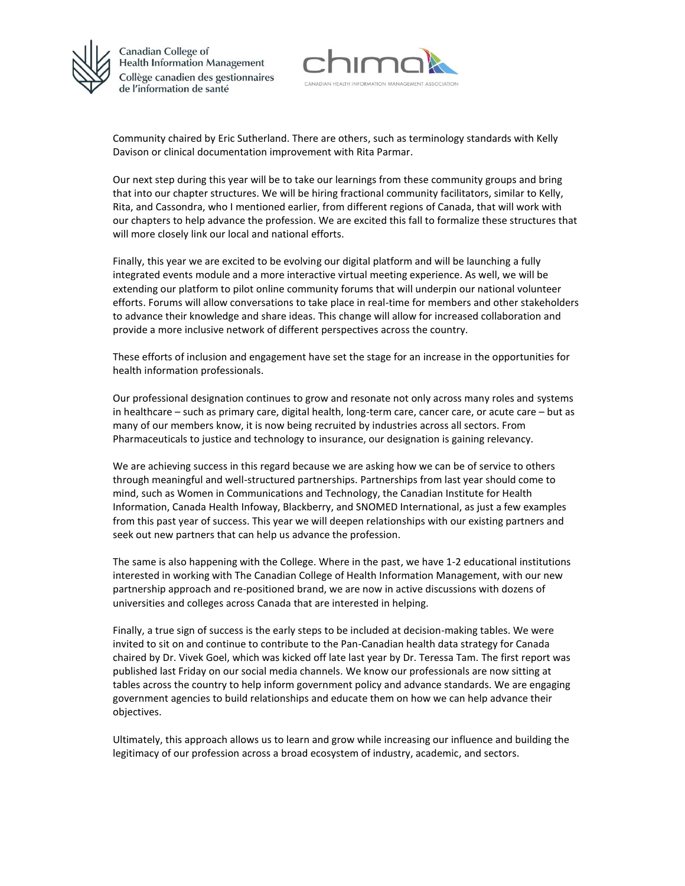



Community chaired by Eric Sutherland. There are others, such as terminology standards with Kelly Davison or clinical documentation improvement with Rita Parmar.

Our next step during this year will be to take our learnings from these community groups and bring that into our chapter structures. We will be hiring fractional community facilitators, similar to Kelly, Rita, and Cassondra, who I mentioned earlier, from different regions of Canada, that will work with our chapters to help advance the profession. We are excited this fall to formalize these structures that will more closely link our local and national efforts.

Finally, this year we are excited to be evolving our digital platform and will be launching a fully integrated events module and a more interactive virtual meeting experience. As well, we will be extending our platform to pilot online community forums that will underpin our national volunteer efforts. Forums will allow conversations to take place in real-time for members and other stakeholders to advance their knowledge and share ideas. This change will allow for increased collaboration and provide a more inclusive network of different perspectives across the country.

These efforts of inclusion and engagement have set the stage for an increase in the opportunities for health information professionals.

Our professional designation continues to grow and resonate not only across many roles and systems in healthcare – such as primary care, digital health, long-term care, cancer care, or acute care – but as many of our members know, it is now being recruited by industries across all sectors. From Pharmaceuticals to justice and technology to insurance, our designation is gaining relevancy.

We are achieving success in this regard because we are asking how we can be of service to others through meaningful and well-structured partnerships. Partnerships from last year should come to mind, such as Women in Communications and Technology, the Canadian Institute for Health Information, Canada Health Infoway, Blackberry, and SNOMED International, as just a few examples from this past year of success. This year we will deepen relationships with our existing partners and seek out new partners that can help us advance the profession.

The same is also happening with the College. Where in the past, we have 1-2 educational institutions interested in working with The Canadian College of Health Information Management, with our new partnership approach and re-positioned brand, we are now in active discussions with dozens of universities and colleges across Canada that are interested in helping.

Finally, a true sign of success is the early steps to be included at decision-making tables. We were invited to sit on and continue to contribute to the Pan-Canadian health data strategy for Canada chaired by Dr. Vivek Goel, which was kicked off late last year by Dr. Teressa Tam. The first report was published last Friday on our social media channels. We know our professionals are now sitting at tables across the country to help inform government policy and advance standards. We are engaging government agencies to build relationships and educate them on how we can help advance their objectives.

Ultimately, this approach allows us to learn and grow while increasing our influence and building the legitimacy of our profession across a broad ecosystem of industry, academic, and sectors.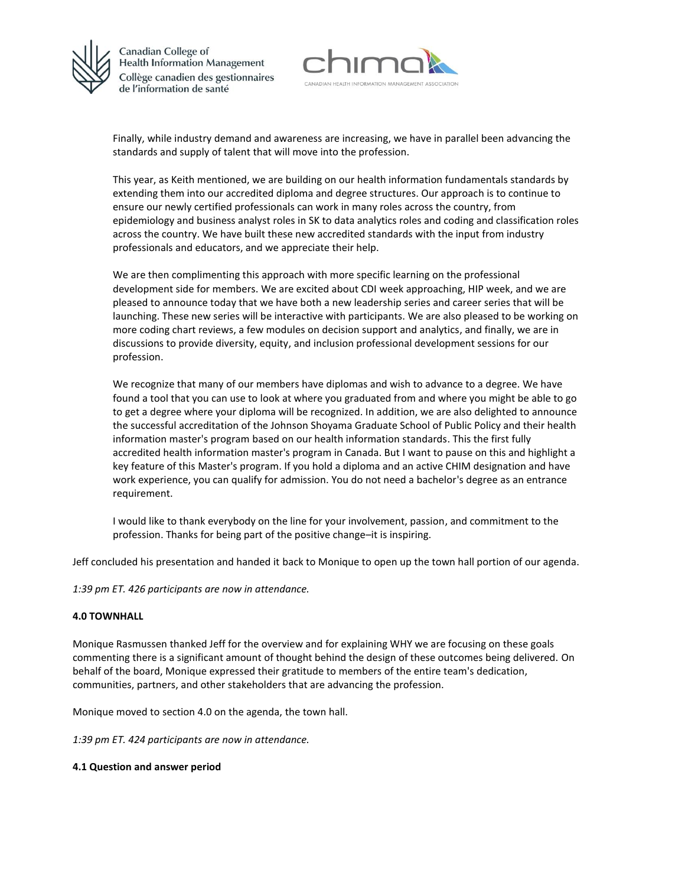



Finally, while industry demand and awareness are increasing, we have in parallel been advancing the standards and supply of talent that will move into the profession.

This year, as Keith mentioned, we are building on our health information fundamentals standards by extending them into our accredited diploma and degree structures. Our approach is to continue to ensure our newly certified professionals can work in many roles across the country, from epidemiology and business analyst roles in SK to data analytics roles and coding and classification roles across the country. We have built these new accredited standards with the input from industry professionals and educators, and we appreciate their help.

We are then complimenting this approach with more specific learning on the professional development side for members. We are excited about CDI week approaching, HIP week, and we are pleased to announce today that we have both a new leadership series and career series that will be launching. These new series will be interactive with participants. We are also pleased to be working on more coding chart reviews, a few modules on decision support and analytics, and finally, we are in discussions to provide diversity, equity, and inclusion professional development sessions for our profession.

We recognize that many of our members have diplomas and wish to advance to a degree. We have found a tool that you can use to look at where you graduated from and where you might be able to go to get a degree where your diploma will be recognized. In addition, we are also delighted to announce the successful accreditation of the Johnson Shoyama Graduate School of Public Policy and their health information master's program based on our health information standards. This the first fully accredited health information master's program in Canada. But I want to pause on this and highlight a key feature of this Master's program. If you hold a diploma and an active CHIM designation and have work experience, you can qualify for admission. You do not need a bachelor's degree as an entrance requirement.

I would like to thank everybody on the line for your involvement, passion, and commitment to the profession. Thanks for being part of the positive change–it is inspiring.

Jeff concluded his presentation and handed it back to Monique to open up the town hall portion of our agenda.

*1:39 pm ET. 426 participants are now in attendance.*

#### **4.0 TOWNHALL**

Monique Rasmussen thanked Jeff for the overview and for explaining WHY we are focusing on these goals commenting there is a significant amount of thought behind the design of these outcomes being delivered. On behalf of the board, Monique expressed their gratitude to members of the entire team's dedication, communities, partners, and other stakeholders that are advancing the profession.

Monique moved to section 4.0 on the agenda, the town hall.

*1:39 pm ET. 424 participants are now in attendance.*

#### **4.1 Question and answer period**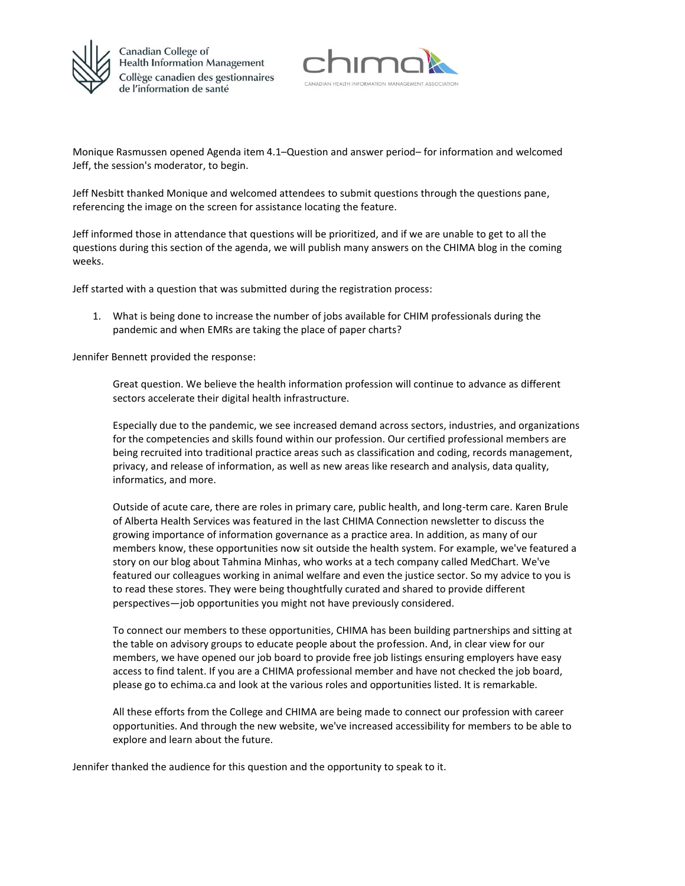



Monique Rasmussen opened Agenda item 4.1–Question and answer period– for information and welcomed Jeff, the session's moderator, to begin.

Jeff Nesbitt thanked Monique and welcomed attendees to submit questions through the questions pane, referencing the image on the screen for assistance locating the feature.

Jeff informed those in attendance that questions will be prioritized, and if we are unable to get to all the questions during this section of the agenda, we will publish many answers on the CHIMA blog in the coming weeks.

Jeff started with a question that was submitted during the registration process:

1. What is being done to increase the number of jobs available for CHIM professionals during the pandemic and when EMRs are taking the place of paper charts?

Jennifer Bennett provided the response:

Great question. We believe the health information profession will continue to advance as different sectors accelerate their digital health infrastructure.

Especially due to the pandemic, we see increased demand across sectors, industries, and organizations for the competencies and skills found within our profession. Our certified professional members are being recruited into traditional practice areas such as classification and coding, records management, privacy, and release of information, as well as new areas like research and analysis, data quality, informatics, and more.

Outside of acute care, there are roles in primary care, public health, and long-term care. Karen Brule of Alberta Health Services was featured in the last CHIMA Connection newsletter to discuss the growing importance of information governance as a practice area. In addition, as many of our members know, these opportunities now sit outside the health system. For example, we've featured a story on our blog about Tahmina Minhas, who works at a tech company called MedChart. We've featured our colleagues working in animal welfare and even the justice sector. So my advice to you is to read these stores. They were being thoughtfully curated and shared to provide different perspectives—job opportunities you might not have previously considered.

To connect our members to these opportunities, CHIMA has been building partnerships and sitting at the table on advisory groups to educate people about the profession. And, in clear view for our members, we have opened our job board to provide free job listings ensuring employers have easy access to find talent. If you are a CHIMA professional member and have not checked the job board, please go to echima.ca and look at the various roles and opportunities listed. It is remarkable.

All these efforts from the College and CHIMA are being made to connect our profession with career opportunities. And through the new website, we've increased accessibility for members to be able to explore and learn about the future.

Jennifer thanked the audience for this question and the opportunity to speak to it.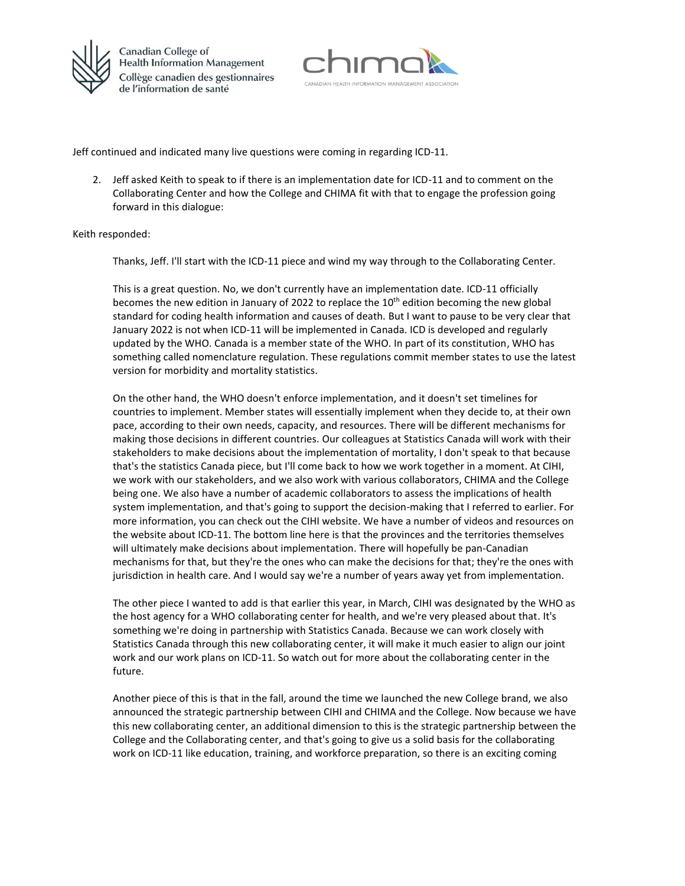



Jeff continued and indicated many live questions were coming in regarding ICD-11.

2. Jeff asked Keith to speak to if there is an implementation date for ICD-11 and to comment on the Collaborating Center and how the College and CHIMA fit with that to engage the profession going forward in this dialogue:

#### Keith responded:

Thanks, Jeff. I'll start with the ICD-11 piece and wind my way through to the Collaborating Center.

This is a great question. No, we don't currently have an implementation date. ICD-11 officially becomes the new edition in January of 2022 to replace the  $10<sup>th</sup>$  edition becoming the new global standard for coding health information and causes of death. But I want to pause to be very clear that January 2022 is not when ICD-11 will be implemented in Canada. ICD is developed and regularly updated by the WHO. Canada is a member state of the WHO. In part of its constitution, WHO has something called nomenclature regulation. These regulations commit member states to use the latest version for morbidity and mortality statistics.

On the other hand, the WHO doesn't enforce implementation, and it doesn't set timelines for countries to implement. Member states will essentially implement when they decide to, at their own pace, according to their own needs, capacity, and resources. There will be different mechanisms for making those decisions in different countries. Our colleagues at Statistics Canada will work with their stakeholders to make decisions about the implementation of mortality, I don't speak to that because that's the statistics Canada piece, but I'll come back to how we work together in a moment. At CIHI, we work with our stakeholders, and we also work with various collaborators, CHIMA and the College being one. We also have a number of academic collaborators to assess the implications of health system implementation, and that's going to support the decision-making that I referred to earlier. For more information, you can check out the CIHI website. We have a number of videos and resources on the website about ICD-11. The bottom line here is that the provinces and the territories themselves will ultimately make decisions about implementation. There will hopefully be pan-Canadian mechanisms for that, but they're the ones who can make the decisions for that; they're the ones with jurisdiction in health care. And I would say we're a number of years away yet from implementation.

The other piece I wanted to add is that earlier this year, in March, CIHI was designated by the WHO as the host agency for a WHO collaborating center for health, and we're very pleased about that. It's something we're doing in partnership with Statistics Canada. Because we can work closely with Statistics Canada through this new collaborating center, it will make it much easier to align our joint work and our work plans on ICD-11. So watch out for more about the collaborating center in the future.

Another piece of this is that in the fall, around the time we launched the new College brand, we also announced the strategic partnership between CIHI and CHIMA and the College. Now because we have this new collaborating center, an additional dimension to this is the strategic partnership between the College and the Collaborating center, and that's going to give us a solid basis for the collaborating work on ICD-11 like education, training, and workforce preparation, so there is an exciting coming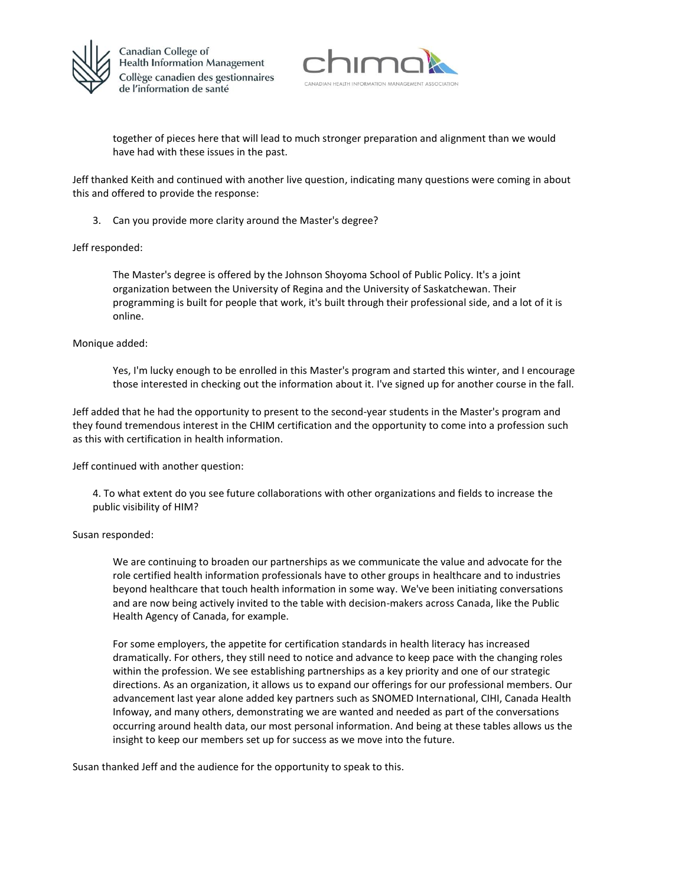



together of pieces here that will lead to much stronger preparation and alignment than we would have had with these issues in the past.

Jeff thanked Keith and continued with another live question, indicating many questions were coming in about this and offered to provide the response:

3. Can you provide more clarity around the Master's degree?

### Jeff responded:

The Master's degree is offered by the Johnson Shoyoma School of Public Policy. It's a joint organization between the University of Regina and the University of Saskatchewan. Their programming is built for people that work, it's built through their professional side, and a lot of it is online.

### Monique added:

Yes, I'm lucky enough to be enrolled in this Master's program and started this winter, and I encourage those interested in checking out the information about it. I've signed up for another course in the fall.

Jeff added that he had the opportunity to present to the second-year students in the Master's program and they found tremendous interest in the CHIM certification and the opportunity to come into a profession such as this with certification in health information.

Jeff continued with another question:

4. To what extent do you see future collaborations with other organizations and fields to increase the public visibility of HIM?

#### Susan responded:

We are continuing to broaden our partnerships as we communicate the value and advocate for the role certified health information professionals have to other groups in healthcare and to industries beyond healthcare that touch health information in some way. We've been initiating conversations and are now being actively invited to the table with decision-makers across Canada, like the Public Health Agency of Canada, for example.

For some employers, the appetite for certification standards in health literacy has increased dramatically. For others, they still need to notice and advance to keep pace with the changing roles within the profession. We see establishing partnerships as a key priority and one of our strategic directions. As an organization, it allows us to expand our offerings for our professional members. Our advancement last year alone added key partners such as SNOMED International, CIHI, Canada Health Infoway, and many others, demonstrating we are wanted and needed as part of the conversations occurring around health data, our most personal information. And being at these tables allows us the insight to keep our members set up for success as we move into the future.

Susan thanked Jeff and the audience for the opportunity to speak to this.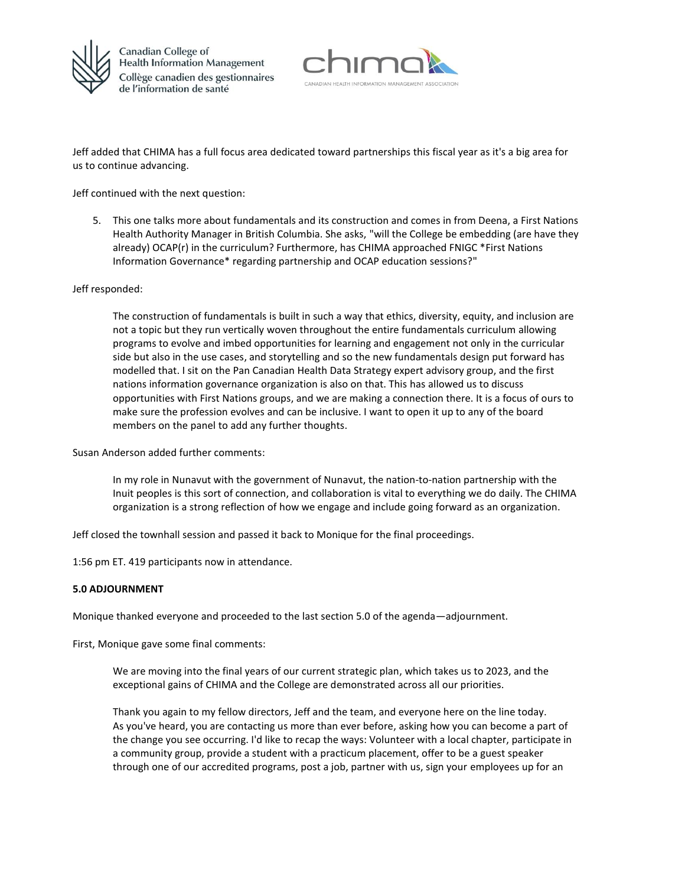



Jeff added that CHIMA has a full focus area dedicated toward partnerships this fiscal year as it's a big area for us to continue advancing.

Jeff continued with the next question:

5. This one talks more about fundamentals and its construction and comes in from Deena, a First Nations Health Authority Manager in British Columbia. She asks, "will the College be embedding (are have they already) OCAP(r) in the curriculum? Furthermore, has CHIMA approached FNIGC \*First Nations Information Governance\* regarding partnership and OCAP education sessions?"

#### Jeff responded:

The construction of fundamentals is built in such a way that ethics, diversity, equity, and inclusion are not a topic but they run vertically woven throughout the entire fundamentals curriculum allowing programs to evolve and imbed opportunities for learning and engagement not only in the curricular side but also in the use cases, and storytelling and so the new fundamentals design put forward has modelled that. I sit on the Pan Canadian Health Data Strategy expert advisory group, and the first nations information governance organization is also on that. This has allowed us to discuss opportunities with First Nations groups, and we are making a connection there. It is a focus of ours to make sure the profession evolves and can be inclusive. I want to open it up to any of the board members on the panel to add any further thoughts.

Susan Anderson added further comments:

In my role in Nunavut with the government of Nunavut, the nation-to-nation partnership with the Inuit peoples is this sort of connection, and collaboration is vital to everything we do daily. The CHIMA organization is a strong reflection of how we engage and include going forward as an organization.

Jeff closed the townhall session and passed it back to Monique for the final proceedings.

1:56 pm ET. 419 participants now in attendance.

### **5.0 ADJOURNMENT**

Monique thanked everyone and proceeded to the last section 5.0 of the agenda—adjournment.

First, Monique gave some final comments:

We are moving into the final years of our current strategic plan, which takes us to 2023, and the exceptional gains of CHIMA and the College are demonstrated across all our priorities.

Thank you again to my fellow directors, Jeff and the team, and everyone here on the line today. As you've heard, you are contacting us more than ever before, asking how you can become a part of the change you see occurring. I'd like to recap the ways: Volunteer with a local chapter, participate in a community group, provide a student with a practicum placement, offer to be a guest speaker through one of our accredited programs, post a job, partner with us, sign your employees up for an